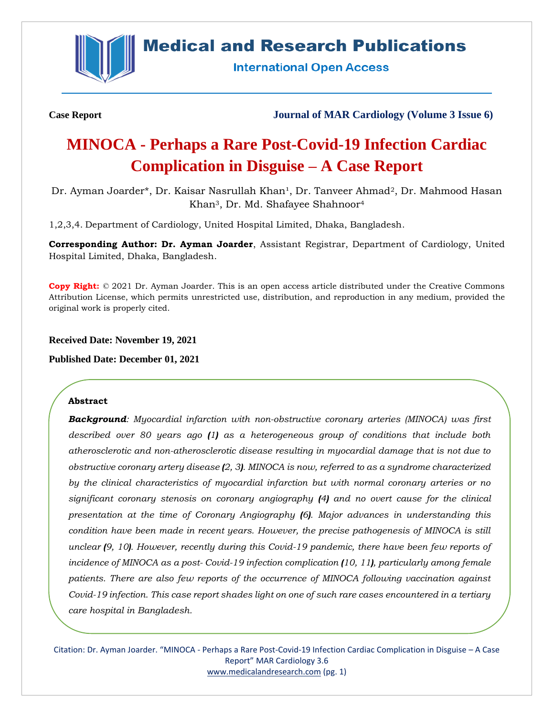

# **Medical and Research Publications**

**International Open Access** 

**Case Report Journal of MAR Cardiology (Volume 3 Issue 6)**

# **MINOCA - Perhaps a Rare Post-Covid-19 Infection Cardiac Complication in Disguise – A Case Report**

Dr. Ayman Joarder\*, Dr. Kaisar Nasrullah Khan<sup>1</sup>, Dr. Tanveer Ahmad<sup>2</sup>, Dr. Mahmood Hasan Khan3, Dr. Md. Shafayee Shahnoor<sup>4</sup>

1,2,3,4. Department of Cardiology, United Hospital Limited, Dhaka, Bangladesh.

**Corresponding Author: Dr. Ayman Joarder**, Assistant Registrar, Department of Cardiology, United Hospital Limited, Dhaka, Bangladesh.

**Copy Right:** © 2021 Dr. Ayman Joarder. This is an open access article distributed under the Creative Commons Attribution License, which permits unrestricted use, distribution, and reproduction in any medium, provided the original work is properly cited.

**Received Date: November 19, 2021**

**Published Date: December 01, 2021**

#### **Abstract**

*Background: Myocardial infarction with non-obstructive coronary arteries (MINOCA) was first described over 80 years ago (1) as a heterogeneous group of conditions that include both atherosclerotic and non-atherosclerotic disease resulting in myocardial damage that is not due to obstructive coronary artery disease (2, 3). MINOCA is now, referred to as a syndrome characterized by the clinical characteristics of myocardial infarction but with normal coronary arteries or no significant coronary stenosis on coronary angiography (4) and no overt cause for the clinical presentation at the time of Coronary Angiography (6). Major advances in understanding this condition have been made in recent years. However, the precise pathogenesis of MINOCA is still unclear (9, 10). However, recently during this Covid-19 pandemic, there have been few reports of incidence of MINOCA as a post- Covid-19 infection complication (10, 11), particularly among female patients. There are also few reports of the occurrence of MINOCA following vaccination against Covid-19 infection. This case report shades light on one of such rare cases encountered in a tertiary care hospital in Bangladesh.*

Citation: Dr. Ayman Joarder. "MINOCA - Perhaps a Rare Post-Covid-19 Infection Cardiac Complication in Disguise – A Case Report" MAR Cardiology 3.6 [www.medicalandresearch.com](http://www.medicalandresearch.com/) (pg. 1)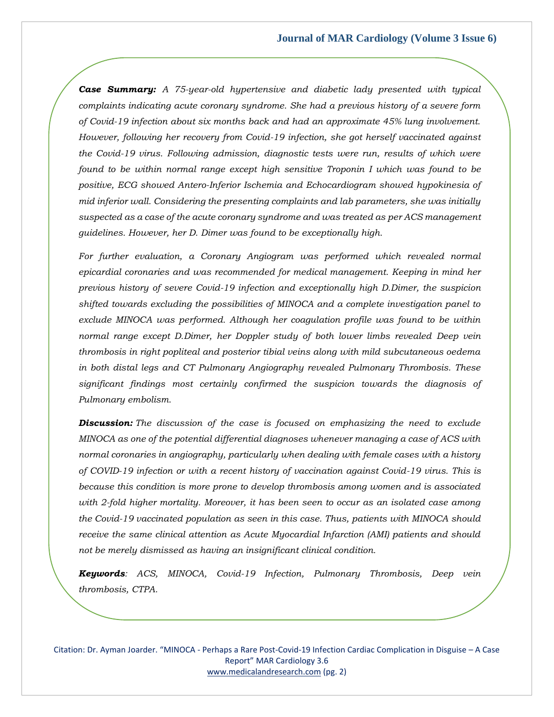*Case Summary: A 75-year-old hypertensive and diabetic lady presented with typical complaints indicating acute coronary syndrome. She had a previous history of a severe form of Covid-19 infection about six months back and had an approximate 45% lung involvement. However, following her recovery from Covid-19 infection, she got herself vaccinated against the Covid-19 virus. Following admission, diagnostic tests were run, results of which were found to be within normal range except high sensitive Troponin I which was found to be positive, ECG showed Antero-Inferior Ischemia and Echocardiogram showed hypokinesia of mid inferior wall. Considering the presenting complaints and lab parameters, she was initially suspected as a case of the acute coronary syndrome and was treated as per ACS management guidelines. However, her D. Dimer was found to be exceptionally high.*

For further evaluation, a Coronary Angiogram was performed which revealed normal *epicardial coronaries and was recommended for medical management. Keeping in mind her previous history of severe Covid-19 infection and exceptionally high D.Dimer, the suspicion shifted towards excluding the possibilities of MINOCA and a complete investigation panel to exclude MINOCA was performed. Although her coagulation profile was found to be within normal range except D.Dimer, her Doppler study of both lower limbs revealed Deep vein thrombosis in right popliteal and posterior tibial veins along with mild subcutaneous oedema in both distal legs and CT Pulmonary Angiography revealed Pulmonary Thrombosis. These significant findings most certainly confirmed the suspicion towards the diagnosis of Pulmonary embolism.*

*Discussion: The discussion of the case is focused on emphasizing the need to exclude MINOCA as one of the potential differential diagnoses whenever managing a case of ACS with normal coronaries in angiography, particularly when dealing with female cases with a history of COVID-19 infection or with a recent history of vaccination against Covid-19 virus. This is because this condition is more prone to develop thrombosis among women and is associated with 2-fold higher mortality. Moreover, it has been seen to occur as an isolated case among the Covid-19 vaccinated population as seen in this case. Thus, patients with MINOCA should receive the same clinical attention as Acute Myocardial Infarction (AMI) patients and should not be merely dismissed as having an insignificant clinical condition.* 

*Keywords: ACS, MINOCA, Covid-19 Infection, Pulmonary Thrombosis, Deep vein thrombosis, CTPA.*

Citation: Dr. Ayman Joarder. "MINOCA - Perhaps a Rare Post-Covid-19 Infection Cardiac Complication in Disguise – A Case Report" MAR Cardiology 3.6 [www.medicalandresearch.com](http://www.medicalandresearch.com/) (pg. 2)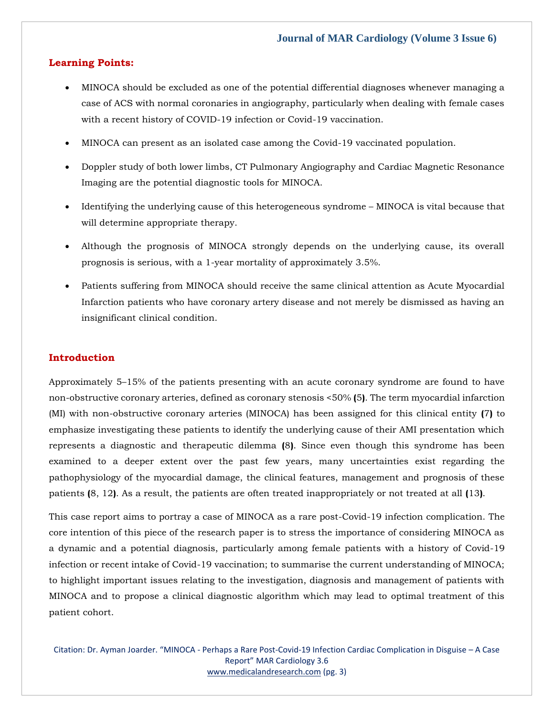### **Learning Points:**

- MINOCA should be excluded as one of the potential differential diagnoses whenever managing a case of ACS with normal coronaries in angiography, particularly when dealing with female cases with a recent history of COVID-19 infection or Covid-19 vaccination.
- MINOCA can present as an isolated case among the Covid-19 vaccinated population.
- Doppler study of both lower limbs, CT Pulmonary Angiography and Cardiac Magnetic Resonance Imaging are the potential diagnostic tools for MINOCA.
- Identifying the underlying cause of this heterogeneous syndrome MINOCA is vital because that will determine appropriate therapy.
- Although the prognosis of MINOCA strongly depends on the underlying cause, its overall prognosis is serious, with a 1-year mortality of approximately 3.5%.
- Patients suffering from MINOCA should receive the same clinical attention as Acute Myocardial Infarction patients who have coronary artery disease and not merely be dismissed as having an insignificant clinical condition.

# **Introduction**

Approximately 5–15% of the patients presenting with an acute coronary syndrome are found to have non-obstructive coronary arteries, defined as coronary stenosis <50% **(**5**)**. The term myocardial infarction (MI) with non-obstructive coronary arteries (MINOCA) has been assigned for this clinical entity **(**7**)** to emphasize investigating these patients to identify the underlying cause of their AMI presentation which represents a diagnostic and therapeutic dilemma **(**8**)**. Since even though this syndrome has been examined to a deeper extent over the past few years, many uncertainties exist regarding the pathophysiology of the myocardial damage, the clinical features, management and prognosis of these patients **(**8, 12**)**. As a result, the patients are often treated inappropriately or not treated at all **(**13**)**.

This case report aims to portray a case of MINOCA as a rare post-Covid-19 infection complication. The core intention of this piece of the research paper is to stress the importance of considering MINOCA as a dynamic and a potential diagnosis, particularly among female patients with a history of Covid-19 infection or recent intake of Covid-19 vaccination; to summarise the current understanding of MINOCA; to highlight important issues relating to the investigation, diagnosis and management of patients with MINOCA and to propose a clinical diagnostic algorithm which may lead to optimal treatment of this patient cohort.

Citation: Dr. Ayman Joarder. "MINOCA - Perhaps a Rare Post-Covid-19 Infection Cardiac Complication in Disguise – A Case Report" MAR Cardiology 3.6 [www.medicalandresearch.com](http://www.medicalandresearch.com/) (pg. 3)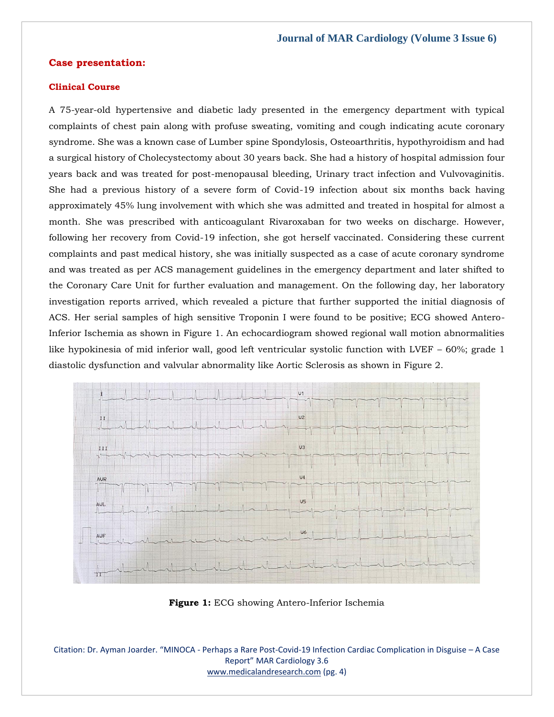#### **Case presentation:**

#### **Clinical Course**

A 75-year-old hypertensive and diabetic lady presented in the emergency department with typical complaints of chest pain along with profuse sweating, vomiting and cough indicating acute coronary syndrome. She was a known case of Lumber spine Spondylosis, Osteoarthritis, hypothyroidism and had a surgical history of Cholecystectomy about 30 years back. She had a history of hospital admission four years back and was treated for post-menopausal bleeding, Urinary tract infection and Vulvovaginitis. She had a previous history of a severe form of Covid-19 infection about six months back having approximately 45% lung involvement with which she was admitted and treated in hospital for almost a month. She was prescribed with anticoagulant Rivaroxaban for two weeks on discharge. However, following her recovery from Covid-19 infection, she got herself vaccinated. Considering these current complaints and past medical history, she was initially suspected as a case of acute coronary syndrome and was treated as per ACS management guidelines in the emergency department and later shifted to the Coronary Care Unit for further evaluation and management. On the following day, her laboratory investigation reports arrived, which revealed a picture that further supported the initial diagnosis of ACS. Her serial samples of high sensitive Troponin I were found to be positive; ECG showed Antero-Inferior Ischemia as shown in Figure 1. An echocardiogram showed regional wall motion abnormalities like hypokinesia of mid inferior wall, good left ventricular systolic function with LVEF – 60%; grade 1 diastolic dysfunction and valvular abnormality like Aortic Sclerosis as shown in Figure 2.



**Figure 1:** ECG showing Antero-Inferior Ischemia

Citation: Dr. Ayman Joarder. "MINOCA - Perhaps a Rare Post-Covid-19 Infection Cardiac Complication in Disguise – A Case Report" MAR Cardiology 3.6 [www.medicalandresearch.com](http://www.medicalandresearch.com/) (pg. 4)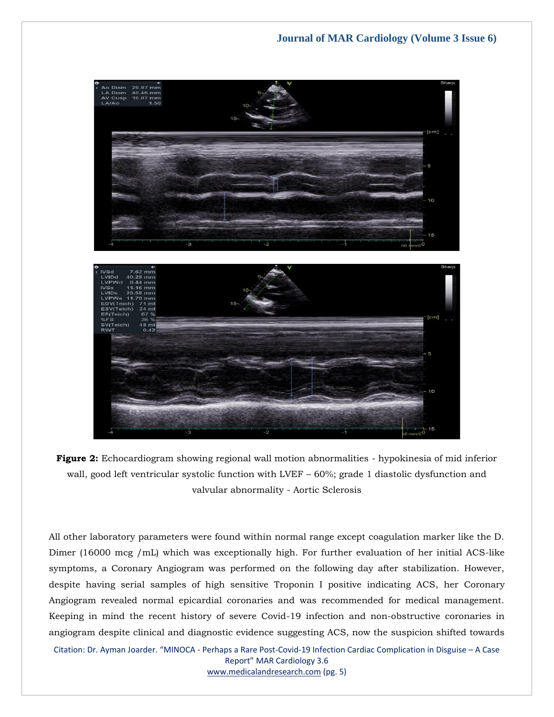

**Figure 2:** Echocardiogram showing regional wall motion abnormalities - hypokinesia of mid inferior wall, good left ventricular systolic function with LVEF – 60%; grade 1 diastolic dysfunction and valvular abnormality - Aortic Sclerosis

All other laboratory parameters were found within normal range except coagulation marker like the D. Dimer (16000 mcg /mL) which was exceptionally high. For further evaluation of her initial ACS-like symptoms, a Coronary Angiogram was performed on the following day after stabilization. However, despite having serial samples of high sensitive Troponin I positive indicating ACS, her Coronary Angiogram revealed normal epicardial coronaries and was recommended for medical management. Keeping in mind the recent history of severe Covid-19 infection and non-obstructive coronaries in angiogram despite clinical and diagnostic evidence suggesting ACS, now the suspicion shifted towards

Citation: Dr. Ayman Joarder. "MINOCA - Perhaps a Rare Post-Covid-19 Infection Cardiac Complication in Disguise – A Case Report" MAR Cardiology 3.6

[www.medicalandresearch.com](http://www.medicalandresearch.com/) (pg. 5)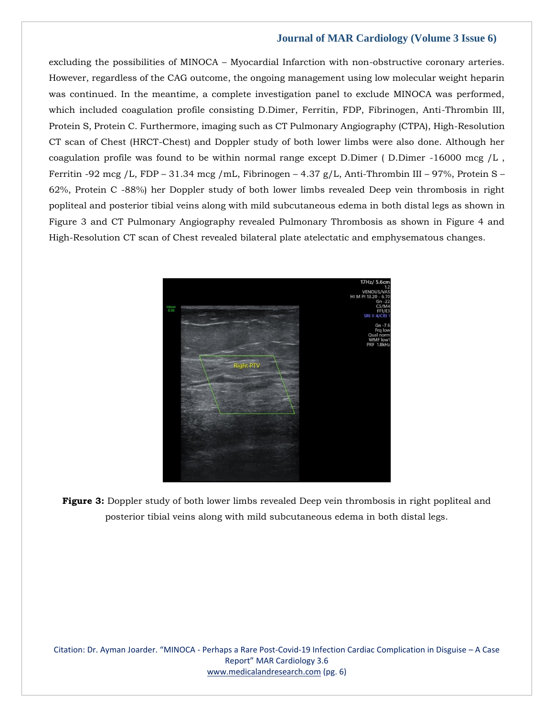excluding the possibilities of MINOCA – Myocardial Infarction with non-obstructive coronary arteries. However, regardless of the CAG outcome, the ongoing management using low molecular weight heparin was continued. In the meantime, a complete investigation panel to exclude MINOCA was performed, which included coagulation profile consisting D.Dimer, Ferritin, FDP, Fibrinogen, Anti-Thrombin III, Protein S, Protein C. Furthermore, imaging such as CT Pulmonary Angiography (CTPA), High-Resolution CT scan of Chest (HRCT-Chest) and Doppler study of both lower limbs were also done. Although her coagulation profile was found to be within normal range except D.Dimer ( D.Dimer -16000 mcg /L , Ferritin -92 mcg /L, FDP – 31.34 mcg /mL, Fibrinogen – 4.37 g/L, Anti-Thrombin III – 97%, Protein S – 62%, Protein C -88%) her Doppler study of both lower limbs revealed Deep vein thrombosis in right popliteal and posterior tibial veins along with mild subcutaneous edema in both distal legs as shown in Figure 3 and CT Pulmonary Angiography revealed Pulmonary Thrombosis as shown in Figure 4 and High-Resolution CT scan of Chest revealed bilateral plate atelectatic and emphysematous changes.



**Figure 3:** Doppler study of both lower limbs revealed Deep vein thrombosis in right popliteal and posterior tibial veins along with mild subcutaneous edema in both distal legs.

Citation: Dr. Ayman Joarder. "MINOCA - Perhaps a Rare Post-Covid-19 Infection Cardiac Complication in Disguise – A Case Report" MAR Cardiology 3.6 [www.medicalandresearch.com](http://www.medicalandresearch.com/) (pg. 6)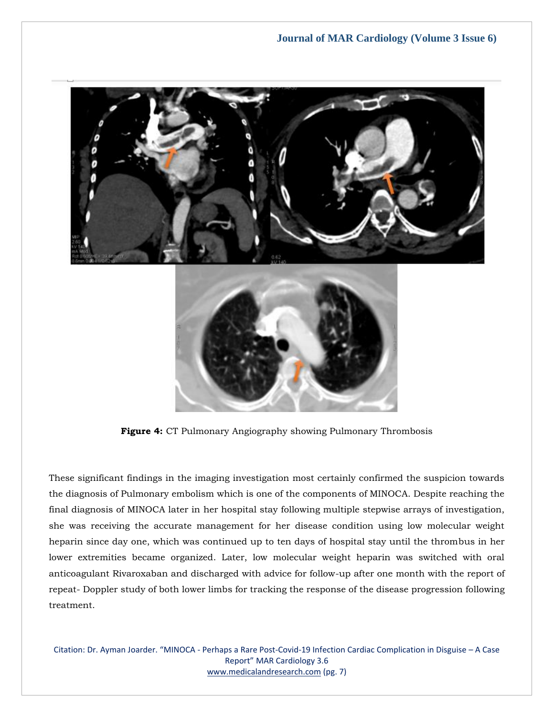

**Figure 4:** CT Pulmonary Angiography showing Pulmonary Thrombosis

These significant findings in the imaging investigation most certainly confirmed the suspicion towards the diagnosis of Pulmonary embolism which is one of the components of MINOCA. Despite reaching the final diagnosis of MINOCA later in her hospital stay following multiple stepwise arrays of investigation, she was receiving the accurate management for her disease condition using low molecular weight heparin since day one, which was continued up to ten days of hospital stay until the thrombus in her lower extremities became organized. Later, low molecular weight heparin was switched with oral anticoagulant Rivaroxaban and discharged with advice for follow-up after one month with the report of repeat- Doppler study of both lower limbs for tracking the response of the disease progression following treatment.

Citation: Dr. Ayman Joarder. "MINOCA - Perhaps a Rare Post-Covid-19 Infection Cardiac Complication in Disguise – A Case Report" MAR Cardiology 3.6 [www.medicalandresearch.com](http://www.medicalandresearch.com/) (pg. 7)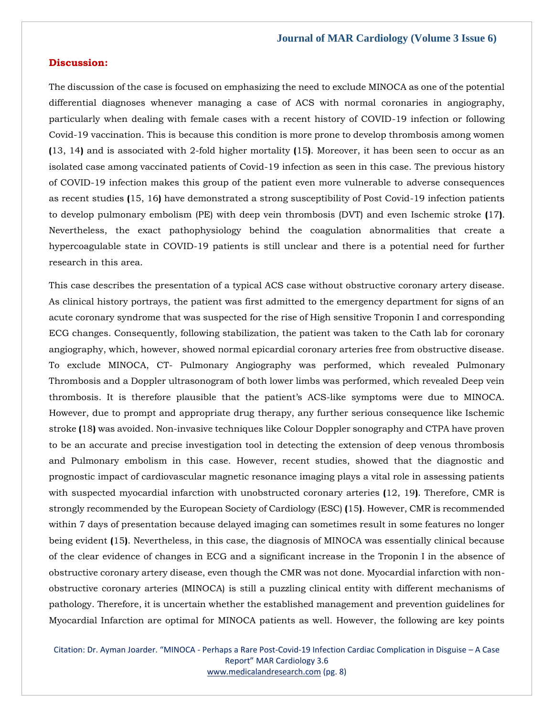#### **Discussion:**

The discussion of the case is focused on emphasizing the need to exclude MINOCA as one of the potential differential diagnoses whenever managing a case of ACS with normal coronaries in angiography, particularly when dealing with female cases with a recent history of COVID-19 infection or following Covid-19 vaccination. This is because this condition is more prone to develop thrombosis among women **(**13, 14**)** and is associated with 2-fold higher mortality **(**15**)**. Moreover, it has been seen to occur as an isolated case among vaccinated patients of Covid-19 infection as seen in this case. The previous history of COVID-19 infection makes this group of the patient even more vulnerable to adverse consequences as recent studies **(**15, 16**)** have demonstrated a strong susceptibility of Post Covid-19 infection patients to develop pulmonary embolism (PE) with deep vein thrombosis (DVT) and even Ischemic stroke **(**17**)**. Nevertheless, the exact pathophysiology behind the coagulation abnormalities that create a hypercoagulable state in COVID-19 patients is still unclear and there is a potential need for further research in this area.

This case describes the presentation of a typical ACS case without obstructive coronary artery disease. As clinical history portrays, the patient was first admitted to the emergency department for signs of an acute coronary syndrome that was suspected for the rise of High sensitive Troponin I and corresponding ECG changes. Consequently, following stabilization, the patient was taken to the Cath lab for coronary angiography, which, however, showed normal epicardial coronary arteries free from obstructive disease. To exclude MINOCA, CT- Pulmonary Angiography was performed, which revealed Pulmonary Thrombosis and a Doppler ultrasonogram of both lower limbs was performed, which revealed Deep vein thrombosis. It is therefore plausible that the patient's ACS-like symptoms were due to MINOCA. However, due to prompt and appropriate drug therapy, any further serious consequence like Ischemic stroke **(**18**)** was avoided. Non-invasive techniques like Colour Doppler sonography and CTPA have proven to be an accurate and precise investigation tool in detecting the extension of deep venous thrombosis and Pulmonary embolism in this case. However, recent studies, showed that the diagnostic and prognostic impact of cardiovascular magnetic resonance imaging plays a vital role in assessing patients with suspected myocardial infarction with unobstructed coronary arteries **(**12, 19**)**. Therefore, CMR is strongly recommended by the European Society of Cardiology (ESC) **(**15**)**. However, CMR is recommended within 7 days of presentation because delayed imaging can sometimes result in some features no longer being evident **(**15**)**. Nevertheless, in this case, the diagnosis of MINOCA was essentially clinical because of the clear evidence of changes in ECG and a significant increase in the Troponin I in the absence of obstructive coronary artery disease, even though the CMR was not done. Myocardial infarction with nonobstructive coronary arteries (MINOCA) is still a puzzling clinical entity with different mechanisms of pathology. Therefore, it is uncertain whether the established management and prevention guidelines for Myocardial Infarction are optimal for MINOCA patients as well. However, the following are key points

Citation: Dr. Ayman Joarder. "MINOCA - Perhaps a Rare Post-Covid-19 Infection Cardiac Complication in Disguise – A Case Report" MAR Cardiology 3.6 [www.medicalandresearch.com](http://www.medicalandresearch.com/) (pg. 8)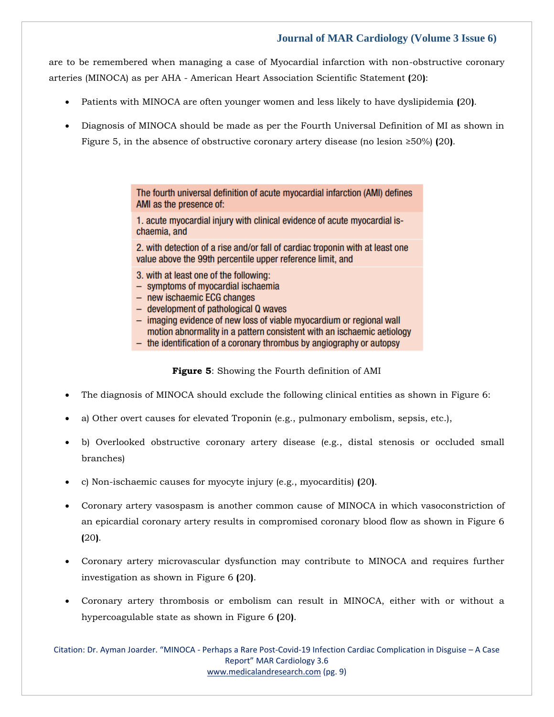are to be remembered when managing a case of Myocardial infarction with non-obstructive coronary arteries (MINOCA) as per AHA - American Heart Association Scientific Statement **(**20**)**:

- Patients with MINOCA are often younger women and less likely to have dyslipidemia **(**20**)**.
- Diagnosis of MINOCA should be made as per the Fourth Universal Definition of MI as shown in Figure 5, in the absence of obstructive coronary artery disease (no lesion ≥50%) **(**20**)**.

The fourth universal definition of acute myocardial infarction (AMI) defines AMI as the presence of:

1. acute myocardial injury with clinical evidence of acute myocardial ischaemia, and

2. with detection of a rise and/or fall of cardiac troponin with at least one value above the 99th percentile upper reference limit, and

- 3. with at least one of the following:
- symptoms of myocardial ischaemia
- new ischaemic ECG changes
- development of pathological Q waves
- imaging evidence of new loss of viable myocardium or regional wall motion abnormality in a pattern consistent with an ischaemic aetiology
- the identification of a coronary thrombus by angiography or autopsy

**Figure 5**: Showing the Fourth definition of AMI

- The diagnosis of MINOCA should exclude the following clinical entities as shown in Figure 6:
- a) Other overt causes for elevated Troponin (e.g., pulmonary embolism, sepsis, etc.),
- b) Overlooked obstructive coronary artery disease (e.g., distal stenosis or occluded small branches)
- c) Non-ischaemic causes for myocyte injury (e.g., myocarditis) **(**20**)**.
- Coronary artery vasospasm is another common cause of MINOCA in which vasoconstriction of an epicardial coronary artery results in compromised coronary blood flow as shown in Figure 6 **(**20**)**.
- Coronary artery microvascular dysfunction may contribute to MINOCA and requires further investigation as shown in Figure 6 **(**20**)**.
- Coronary artery thrombosis or embolism can result in MINOCA, either with or without a hypercoagulable state as shown in Figure 6 **(**20**)**.

Citation: Dr. Ayman Joarder. "MINOCA - Perhaps a Rare Post-Covid-19 Infection Cardiac Complication in Disguise – A Case Report" MAR Cardiology 3.6 [www.medicalandresearch.com](http://www.medicalandresearch.com/) (pg. 9)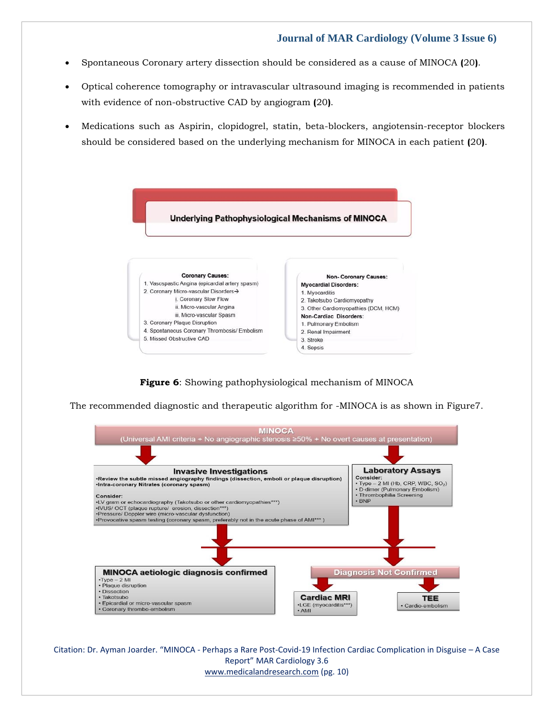- Spontaneous Coronary artery dissection should be considered as a cause of MINOCA **(**20**)**.
- Optical coherence tomography or intravascular ultrasound imaging is recommended in patients with evidence of non-obstructive CAD by angiogram **(**20**)**.
- Medications such as Aspirin, clopidogrel, statin, beta-blockers, angiotensin-receptor blockers should be considered based on the underlying mechanism for MINOCA in each patient **(**20**)**.



**Figure 6**: Showing pathophysiological mechanism of MINOCA

The recommended diagnostic and therapeutic algorithm for -MINOCA is as shown in Figure7.



Citation: Dr. Ayman Joarder. "MINOCA - Perhaps a Rare Post-Covid-19 Infection Cardiac Complication in Disguise – A Case Report" MAR Cardiology 3.6 [www.medicalandresearch.com](http://www.medicalandresearch.com/) (pg. 10)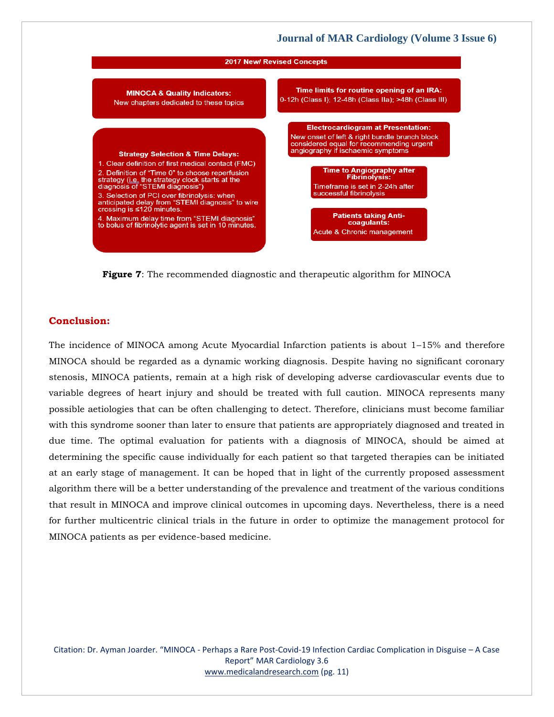

**Figure 7**: The recommended diagnostic and therapeutic algorithm for MINOCA

# **Conclusion:**

The incidence of MINOCA among Acute Myocardial Infarction patients is about 1–15% and therefore MINOCA should be regarded as a dynamic working diagnosis. Despite having no significant coronary stenosis, MINOCA patients, remain at a high risk of developing adverse cardiovascular events due to variable degrees of heart injury and should be treated with full caution. MINOCA represents many possible aetiologies that can be often challenging to detect. Therefore, clinicians must become familiar with this syndrome sooner than later to ensure that patients are appropriately diagnosed and treated in due time. The optimal evaluation for patients with a diagnosis of MINOCA, should be aimed at determining the specific cause individually for each patient so that targeted therapies can be initiated at an early stage of management. It can be hoped that in light of the currently proposed assessment algorithm there will be a better understanding of the prevalence and treatment of the various conditions that result in MINOCA and improve clinical outcomes in upcoming days. Nevertheless, there is a need for further multicentric clinical trials in the future in order to optimize the management protocol for MINOCA patients as per evidence-based medicine.

Citation: Dr. Ayman Joarder. "MINOCA - Perhaps a Rare Post-Covid-19 Infection Cardiac Complication in Disguise – A Case Report" MAR Cardiology 3.6 [www.medicalandresearch.com](http://www.medicalandresearch.com/) (pg. 11)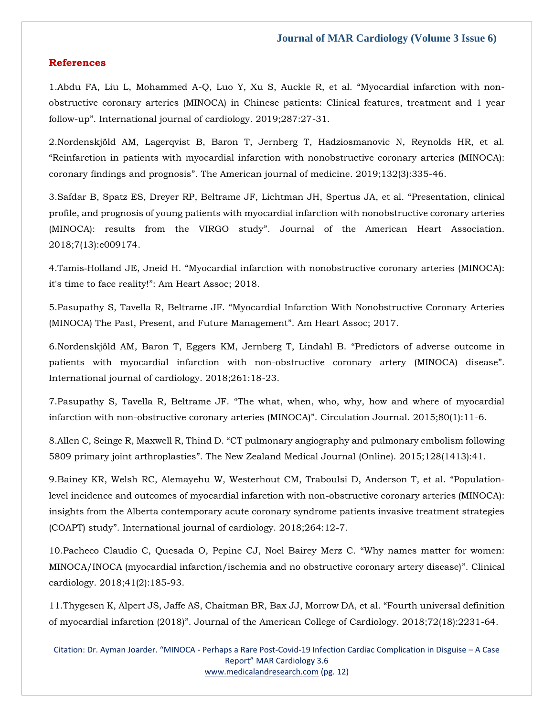#### **References**

1[.Abdu FA, Liu L, Mohammed A-Q, Luo Y, Xu S, Auckle R, et al.](https://www.google.com/search?q=Myocardial+infarction+with+non-obstructive+coronary+arteries+(MINOCA)+in+Chinese+patients%3A+Clinical+features%2C+treatment+and+1+year+follow-up&oq=Myocardial+infarction+with+non-obstructive+coronary+arteries+(MINOCA)+in+Chinese+patients%3A+Clinical+features%2C+treatment+and+1+year+follow-up&aqs=chrome..69i57.666j0j7&sourceid=chrome&ie=UTF-8) "Myocardial infarction with non[obstructive coronary arteries \(MINOCA\) in Chinese patients: Clinical features, treatment and 1 year](https://www.google.com/search?q=Myocardial+infarction+with+non-obstructive+coronary+arteries+(MINOCA)+in+Chinese+patients%3A+Clinical+features%2C+treatment+and+1+year+follow-up&oq=Myocardial+infarction+with+non-obstructive+coronary+arteries+(MINOCA)+in+Chinese+patients%3A+Clinical+features%2C+treatment+and+1+year+follow-up&aqs=chrome..69i57.666j0j7&sourceid=chrome&ie=UTF-8)  follow-up"[. International journal of cardiology. 2019;287:27-31.](https://www.google.com/search?q=Myocardial+infarction+with+non-obstructive+coronary+arteries+(MINOCA)+in+Chinese+patients%3A+Clinical+features%2C+treatment+and+1+year+follow-up&oq=Myocardial+infarction+with+non-obstructive+coronary+arteries+(MINOCA)+in+Chinese+patients%3A+Clinical+features%2C+treatment+and+1+year+follow-up&aqs=chrome..69i57.666j0j7&sourceid=chrome&ie=UTF-8)

2[.Nordenskjöld AM, Lagerqvist B, Baron T, Jernberg T, Hadziosmanovic N, Reynolds HR, et al.](https://www.google.com/search?q=Reinfarction+in+patients+with+myocardial+infarction+with+nonobstructive+coronary+arteries+%28MINOCA%29%3A+coronary+findings+and+prognosis&sxsrf=AOaemvL5j-YXbss3jGogOWD06ZeJOf53Ug%3A1637554798185&ei=bhqbYYPaCruF4t4P-Muu6AM&ved=0ahUKEwiDya6Aj6v0AhW7gtgFHfilCz0Q4dUDCA4&uact=5&oq=Reinfarction+in+patients+with+myocardial+infarction+with+nonobstructive+coronary+arteries+%28MINOCA%29%3A+coronary+findings+and+prognosis&gs_lcp=Cgdnd3Mtd2l6EAMyBwgjEOoCECcyBwgjEOoCECcyBwgjEOoCECcyBwgjEOoCECcyBwgjEOoCECcyBwgjEOoCECcyBwgjEOoCECcyBwgjEOoCECcyBwgjEOoCECcyBwgjEOoCECdKBAhBGABQxwZYxwZg4ApoAXACeACAAQCIAQCSAQCYAQCgAQGgAQKwAQrAAQE&sclient=gws-wiz)  "[Reinfarction in patients with myocardial infarction with nonobstructive coronary arteries \(MINOCA\):](https://www.google.com/search?q=Reinfarction+in+patients+with+myocardial+infarction+with+nonobstructive+coronary+arteries+%28MINOCA%29%3A+coronary+findings+and+prognosis&sxsrf=AOaemvL5j-YXbss3jGogOWD06ZeJOf53Ug%3A1637554798185&ei=bhqbYYPaCruF4t4P-Muu6AM&ved=0ahUKEwiDya6Aj6v0AhW7gtgFHfilCz0Q4dUDCA4&uact=5&oq=Reinfarction+in+patients+with+myocardial+infarction+with+nonobstructive+coronary+arteries+%28MINOCA%29%3A+coronary+findings+and+prognosis&gs_lcp=Cgdnd3Mtd2l6EAMyBwgjEOoCECcyBwgjEOoCECcyBwgjEOoCECcyBwgjEOoCECcyBwgjEOoCECcyBwgjEOoCECcyBwgjEOoCECcyBwgjEOoCECcyBwgjEOoCECcyBwgjEOoCECdKBAhBGABQxwZYxwZg4ApoAXACeACAAQCIAQCSAQCYAQCgAQGgAQKwAQrAAQE&sclient=gws-wiz)  coronary findings and prognosis"[. The American journal of medicine. 2019;132\(3\):335-46.](https://www.google.com/search?q=Reinfarction+in+patients+with+myocardial+infarction+with+nonobstructive+coronary+arteries+%28MINOCA%29%3A+coronary+findings+and+prognosis&sxsrf=AOaemvL5j-YXbss3jGogOWD06ZeJOf53Ug%3A1637554798185&ei=bhqbYYPaCruF4t4P-Muu6AM&ved=0ahUKEwiDya6Aj6v0AhW7gtgFHfilCz0Q4dUDCA4&uact=5&oq=Reinfarction+in+patients+with+myocardial+infarction+with+nonobstructive+coronary+arteries+%28MINOCA%29%3A+coronary+findings+and+prognosis&gs_lcp=Cgdnd3Mtd2l6EAMyBwgjEOoCECcyBwgjEOoCECcyBwgjEOoCECcyBwgjEOoCECcyBwgjEOoCECcyBwgjEOoCECcyBwgjEOoCECcyBwgjEOoCECcyBwgjEOoCECcyBwgjEOoCECdKBAhBGABQxwZYxwZg4ApoAXACeACAAQCIAQCSAQCYAQCgAQGgAQKwAQrAAQE&sclient=gws-wiz)

3[.Safdar B, Spatz ES, Dreyer RP, Beltrame JF, Lichtman JH, Spertus JA, et al.](https://www.google.com/search?q=Presentation%2C+clinical+profile%2C+and+prognosis+of+young+patients+with+myocardial+infarction+with+nonobstructive+coronary+arteries+%28MINOCA%29%3A+results+from+the+VIRGO+study&sxsrf=AOaemvKFW-oMbzTC7O32TTJifsGlmO29VA%3A1637554827316&ei=ixqbYYnNEtnB3LUP8Ly5iAU&ved=0ahUKEwjJvqCOj6v0AhXZILcAHXBeDlEQ4dUDCA4&uact=5&oq=Presentation%2C+clinical+profile%2C+and+prognosis+of+young+patients+with+myocardial+infarction+with+nonobstructive+coronary+arteries+%28MINOCA%29%3A+results+from+the+VIRGO+study&gs_lcp=Cgdnd3Mtd2l6EAMyBwgjEOoCECcyBwgjEOoCECcyBwgjEOoCECcyBwgjEOoCECcyBwgjEOoCECcyBwgjEOoCECcyBwgjEOoCECcyBwgjEOoCECcyBwgjEOoCECcyBwgjEOoCECdKBAhBGABQ9AZY9AZg1QpoAXAAeACAAQCIAQCSAQCYAQCgAQGgAQKwAQrAAQE&sclient=gws-wiz) "Presentation, clinical [profile, and prognosis of young patients with myocardial infarction with nonobstructive coronary arteries](https://www.google.com/search?q=Presentation%2C+clinical+profile%2C+and+prognosis+of+young+patients+with+myocardial+infarction+with+nonobstructive+coronary+arteries+%28MINOCA%29%3A+results+from+the+VIRGO+study&sxsrf=AOaemvKFW-oMbzTC7O32TTJifsGlmO29VA%3A1637554827316&ei=ixqbYYnNEtnB3LUP8Ly5iAU&ved=0ahUKEwjJvqCOj6v0AhXZILcAHXBeDlEQ4dUDCA4&uact=5&oq=Presentation%2C+clinical+profile%2C+and+prognosis+of+young+patients+with+myocardial+infarction+with+nonobstructive+coronary+arteries+%28MINOCA%29%3A+results+from+the+VIRGO+study&gs_lcp=Cgdnd3Mtd2l6EAMyBwgjEOoCECcyBwgjEOoCECcyBwgjEOoCECcyBwgjEOoCECcyBwgjEOoCECcyBwgjEOoCECcyBwgjEOoCECcyBwgjEOoCECcyBwgjEOoCECcyBwgjEOoCECdKBAhBGABQ9AZY9AZg1QpoAXAAeACAAQCIAQCSAQCYAQCgAQGgAQKwAQrAAQE&sclient=gws-wiz)  (MINOCA): results from the VIRGO study"[. Journal of the American Heart Association.](https://www.google.com/search?q=Presentation%2C+clinical+profile%2C+and+prognosis+of+young+patients+with+myocardial+infarction+with+nonobstructive+coronary+arteries+%28MINOCA%29%3A+results+from+the+VIRGO+study&sxsrf=AOaemvKFW-oMbzTC7O32TTJifsGlmO29VA%3A1637554827316&ei=ixqbYYnNEtnB3LUP8Ly5iAU&ved=0ahUKEwjJvqCOj6v0AhXZILcAHXBeDlEQ4dUDCA4&uact=5&oq=Presentation%2C+clinical+profile%2C+and+prognosis+of+young+patients+with+myocardial+infarction+with+nonobstructive+coronary+arteries+%28MINOCA%29%3A+results+from+the+VIRGO+study&gs_lcp=Cgdnd3Mtd2l6EAMyBwgjEOoCECcyBwgjEOoCECcyBwgjEOoCECcyBwgjEOoCECcyBwgjEOoCECcyBwgjEOoCECcyBwgjEOoCECcyBwgjEOoCECcyBwgjEOoCECcyBwgjEOoCECdKBAhBGABQ9AZY9AZg1QpoAXAAeACAAQCIAQCSAQCYAQCgAQGgAQKwAQrAAQE&sclient=gws-wiz)  [2018;7\(13\):e009174.](https://www.google.com/search?q=Presentation%2C+clinical+profile%2C+and+prognosis+of+young+patients+with+myocardial+infarction+with+nonobstructive+coronary+arteries+%28MINOCA%29%3A+results+from+the+VIRGO+study&sxsrf=AOaemvKFW-oMbzTC7O32TTJifsGlmO29VA%3A1637554827316&ei=ixqbYYnNEtnB3LUP8Ly5iAU&ved=0ahUKEwjJvqCOj6v0AhXZILcAHXBeDlEQ4dUDCA4&uact=5&oq=Presentation%2C+clinical+profile%2C+and+prognosis+of+young+patients+with+myocardial+infarction+with+nonobstructive+coronary+arteries+%28MINOCA%29%3A+results+from+the+VIRGO+study&gs_lcp=Cgdnd3Mtd2l6EAMyBwgjEOoCECcyBwgjEOoCECcyBwgjEOoCECcyBwgjEOoCECcyBwgjEOoCECcyBwgjEOoCECcyBwgjEOoCECcyBwgjEOoCECcyBwgjEOoCECcyBwgjEOoCECdKBAhBGABQ9AZY9AZg1QpoAXAAeACAAQCIAQCSAQCYAQCgAQGgAQKwAQrAAQE&sclient=gws-wiz)

4.Tamis‐Holland JE, Jneid H. "[Myocardial infarction with nonobstructive coronary arteries \(MINOCA\):](https://www.google.com/search?q=Myocardial+infarction+with+nonobstructive+coronary+arteries+%28MINOCA%29%3A+it%27s+time+to+face+reality%21&sxsrf=AOaemvJB0eNWQM7aJy8HliBA87wFVzf-rA%3A1637554856185&ei=qBqbYenRCs_Zz7sP4vOhgA0&ved=0ahUKEwjpxYKcj6v0AhXP7HMBHeJ5CNAQ4dUDCA4&uact=5&oq=Myocardial+infarction+with+nonobstructive+coronary+arteries+%28MINOCA%29%3A+it%27s+time+to+face+reality%21&gs_lcp=Cgdnd3Mtd2l6EAM6BwgjEOoCECdKBAhBGABQkQZYkQZguQpoAXACeACAAesBiAHrAZIBAzItMZgBAKABAaABArABCsABAQ&sclient=gws-wiz)  it's time to face reality!"[: Am Heart Assoc; 2018.](https://www.google.com/search?q=Myocardial+infarction+with+nonobstructive+coronary+arteries+%28MINOCA%29%3A+it%27s+time+to+face+reality%21&sxsrf=AOaemvJB0eNWQM7aJy8HliBA87wFVzf-rA%3A1637554856185&ei=qBqbYenRCs_Zz7sP4vOhgA0&ved=0ahUKEwjpxYKcj6v0AhXP7HMBHeJ5CNAQ4dUDCA4&uact=5&oq=Myocardial+infarction+with+nonobstructive+coronary+arteries+%28MINOCA%29%3A+it%27s+time+to+face+reality%21&gs_lcp=Cgdnd3Mtd2l6EAM6BwgjEOoCECdKBAhBGABQkQZYkQZguQpoAXACeACAAesBiAHrAZIBAzItMZgBAKABAaABArABCsABAQ&sclient=gws-wiz)

5.Pasupathy S, Tavella R, Beltrame JF. "[Myocardial Infarction With Nonobstructive Coronary Arteries](https://www.google.com/search?q=Myocardial+Infarction+With+Nonobstructive+Coronary+Arteries+%28MINOCA%29+The+Past%2C+Present%2C+and+Future+Management&sxsrf=AOaemvJBuEw3DOG2_N9xgqJfemBaGE0yog%3A1637554880624&ei=wBqbYZm-JdbYz7sPrP2I2AE&ved=0ahUKEwiZntanj6v0AhVW7HMBHaw-AhsQ4dUDCA4&uact=5&oq=Myocardial+Infarction+With+Nonobstructive+Coronary+Arteries+%28MINOCA%29+The+Past%2C+Present%2C+and+Future+Management&gs_lcp=Cgdnd3Mtd2l6EAMyBwgjEOoCECcyBwgjEOoCECcyBwgjEOoCECcyBwgjEOoCECcyBwgjEOoCECcyBwgjEOoCECcyBwgjEOoCECcyBwgjEOoCECcyBwgjEOoCECcyBwgjEOoCECdKBAhBGABQ1gVY1gVg9QloAXAAeACAAQCIAQCSAQCYAQCgAQGgAQKwAQrAAQE&sclient=gws-wiz)  [\(MINOCA\) The Past, Present, and Future Management](https://www.google.com/search?q=Myocardial+Infarction+With+Nonobstructive+Coronary+Arteries+%28MINOCA%29+The+Past%2C+Present%2C+and+Future+Management&sxsrf=AOaemvJBuEw3DOG2_N9xgqJfemBaGE0yog%3A1637554880624&ei=wBqbYZm-JdbYz7sPrP2I2AE&ved=0ahUKEwiZntanj6v0AhVW7HMBHaw-AhsQ4dUDCA4&uact=5&oq=Myocardial+Infarction+With+Nonobstructive+Coronary+Arteries+%28MINOCA%29+The+Past%2C+Present%2C+and+Future+Management&gs_lcp=Cgdnd3Mtd2l6EAMyBwgjEOoCECcyBwgjEOoCECcyBwgjEOoCECcyBwgjEOoCECcyBwgjEOoCECcyBwgjEOoCECcyBwgjEOoCECcyBwgjEOoCECcyBwgjEOoCECcyBwgjEOoCECdKBAhBGABQ1gVY1gVg9QloAXAAeACAAQCIAQCSAQCYAQCgAQGgAQKwAQrAAQE&sclient=gws-wiz)". Am Heart Assoc; 2017.

6[.Nordenskjöld AM, Baron T, Eggers KM, Jernberg T, Lindahl B.](https://www.google.com/search?q=Predictors+of+adverse+outcome+in+patients+with+myocardial+infarction+with+non-obstructive+coronary+artery+%28MINOCA%29+disease&sxsrf=AOaemvK6c5s5NGf0ueXWoK_8vKAWqbQpaA%3A1637554897601&ei=0RqbYYOVJNjAz7sP0I-xgAU&ved=0ahUKEwjDweKvj6v0AhVY4HMBHdBHDFAQ4dUDCA4&uact=5&oq=Predictors+of+adverse+outcome+in+patients+with+myocardial+infarction+with+non-obstructive+coronary+artery+%28MINOCA%29+disease&gs_lcp=Cgdnd3Mtd2l6EAMyBwgjEOoCECcyBwgjEOoCECcyBwgjEOoCECcyBwgjEOoCECcyBwgjEOoCECcyBwgjEOoCECcyBwgjEOoCECcyBwgjEOoCECcyBwgjEOoCECcyBwgjEOoCECdKBAhBGABQ3wZY3wZg-QpoAXACeACAAQCIAQCSAQCYAQCgAQGgAQKwAQrAAQE&sclient=gws-wiz) "Predictors of adverse outcome in [patients with myocardial infarction with non-obstructive coronary artery \(MINOCA\) disease](https://www.google.com/search?q=Predictors+of+adverse+outcome+in+patients+with+myocardial+infarction+with+non-obstructive+coronary+artery+%28MINOCA%29+disease&sxsrf=AOaemvK6c5s5NGf0ueXWoK_8vKAWqbQpaA%3A1637554897601&ei=0RqbYYOVJNjAz7sP0I-xgAU&ved=0ahUKEwjDweKvj6v0AhVY4HMBHdBHDFAQ4dUDCA4&uact=5&oq=Predictors+of+adverse+outcome+in+patients+with+myocardial+infarction+with+non-obstructive+coronary+artery+%28MINOCA%29+disease&gs_lcp=Cgdnd3Mtd2l6EAMyBwgjEOoCECcyBwgjEOoCECcyBwgjEOoCECcyBwgjEOoCECcyBwgjEOoCECcyBwgjEOoCECcyBwgjEOoCECcyBwgjEOoCECcyBwgjEOoCECcyBwgjEOoCECdKBAhBGABQ3wZY3wZg-QpoAXACeACAAQCIAQCSAQCYAQCgAQGgAQKwAQrAAQE&sclient=gws-wiz)". [International journal of cardiology. 2018;261:18-23.](https://www.google.com/search?q=Predictors+of+adverse+outcome+in+patients+with+myocardial+infarction+with+non-obstructive+coronary+artery+%28MINOCA%29+disease&sxsrf=AOaemvK6c5s5NGf0ueXWoK_8vKAWqbQpaA%3A1637554897601&ei=0RqbYYOVJNjAz7sP0I-xgAU&ved=0ahUKEwjDweKvj6v0AhVY4HMBHdBHDFAQ4dUDCA4&uact=5&oq=Predictors+of+adverse+outcome+in+patients+with+myocardial+infarction+with+non-obstructive+coronary+artery+%28MINOCA%29+disease&gs_lcp=Cgdnd3Mtd2l6EAMyBwgjEOoCECcyBwgjEOoCECcyBwgjEOoCECcyBwgjEOoCECcyBwgjEOoCECcyBwgjEOoCECcyBwgjEOoCECcyBwgjEOoCECcyBwgjEOoCECcyBwgjEOoCECdKBAhBGABQ3wZY3wZg-QpoAXACeACAAQCIAQCSAQCYAQCgAQGgAQKwAQrAAQE&sclient=gws-wiz)

7.Pasupathy S, Tavella R, Beltrame JF. "[The what, when, who, why, how and where of myocardial](https://www.google.com/search?q=The+what%2C+when%2C+who%2C+why%2C+how+and+where+of+myocardial+infarction+with+non-obstructive+coronary+arteries+%28MINOCA%29&sxsrf=AOaemvJokDOo7FHhh9GOBrI6DgPIGclJeQ%3A1637554938341&ei=-hqbYaWqFMWH8QPWjBI&ved=0ahUKEwilj5nDj6v0AhXFQ3wKHVaGBAAQ4dUDCA4&uact=5&oq=The+what%2C+when%2C+who%2C+why%2C+how+and+where+of+myocardial+infarction+with+non-obstructive+coronary+arteries+%28MINOCA%29&gs_lcp=Cgdnd3Mtd2l6EAMyBwgjEOoCECcyBwgjEOoCECcyBwgjEOoCECcyBwgjEOoCECcyBwgjEOoCECcyBwgjEOoCECcyBwgjEOoCECcyBwgjEOoCECcyBwgjEOoCECcyBwgjEOoCECdKBAhBGABQwwVYwwVgpgloAXAAeACAAQCIAQCSAQCYAQCgAQGgAQKwAQrAAQE&sclient=gws-wiz)  [infarction with non-obstructive coronary arteries \(MINOCA\)](https://www.google.com/search?q=The+what%2C+when%2C+who%2C+why%2C+how+and+where+of+myocardial+infarction+with+non-obstructive+coronary+arteries+%28MINOCA%29&sxsrf=AOaemvJokDOo7FHhh9GOBrI6DgPIGclJeQ%3A1637554938341&ei=-hqbYaWqFMWH8QPWjBI&ved=0ahUKEwilj5nDj6v0AhXFQ3wKHVaGBAAQ4dUDCA4&uact=5&oq=The+what%2C+when%2C+who%2C+why%2C+how+and+where+of+myocardial+infarction+with+non-obstructive+coronary+arteries+%28MINOCA%29&gs_lcp=Cgdnd3Mtd2l6EAMyBwgjEOoCECcyBwgjEOoCECcyBwgjEOoCECcyBwgjEOoCECcyBwgjEOoCECcyBwgjEOoCECcyBwgjEOoCECcyBwgjEOoCECcyBwgjEOoCECcyBwgjEOoCECdKBAhBGABQwwVYwwVgpgloAXAAeACAAQCIAQCSAQCYAQCgAQGgAQKwAQrAAQE&sclient=gws-wiz)". Circulation Journal. 2015;80(1):11-6.

8.Allen C, Seinge R, Maxwell R, Thind D. "[CT pulmonary angiography and pulmonary embolism following](https://www.google.com/search?q=CT+pulmonary+angiography+and+pulmonary+embolism+following+5809+primary+joint+arthroplasties&sxsrf=AOaemvJVb_Tg-_BKN6QfMMBhi-RRgsL64Q%3A1637554978252&ei=IhubYevoDvfVz7sPqbyQgAU&ved=0ahUKEwjrgZ3Wj6v0AhX36nMBHSkeBFAQ4dUDCA4&uact=5&oq=CT+pulmonary+angiography+and+pulmonary+embolism+following+5809+primary+joint+arthroplasties&gs_lcp=Cgdnd3Mtd2l6EAM6BwgjEOoCECdKBAhBGABQ-AZY-AZgjgtoAXACeACAAeYBiAHmAZIBAzItMZgBAKABAaABArABCsABAQ&sclient=gws-wiz)  5809 primary joint arthroplasties"[. The New Zealand Medical Journal \(Online\). 2015;128\(1413\):41.](https://www.google.com/search?q=CT+pulmonary+angiography+and+pulmonary+embolism+following+5809+primary+joint+arthroplasties&sxsrf=AOaemvJVb_Tg-_BKN6QfMMBhi-RRgsL64Q%3A1637554978252&ei=IhubYevoDvfVz7sPqbyQgAU&ved=0ahUKEwjrgZ3Wj6v0AhX36nMBHSkeBFAQ4dUDCA4&uact=5&oq=CT+pulmonary+angiography+and+pulmonary+embolism+following+5809+primary+joint+arthroplasties&gs_lcp=Cgdnd3Mtd2l6EAM6BwgjEOoCECdKBAhBGABQ-AZY-AZgjgtoAXACeACAAeYBiAHmAZIBAzItMZgBAKABAaABArABCsABAQ&sclient=gws-wiz)

9[.Bainey KR, Welsh RC, Alemayehu W, Westerhout CM, Traboulsi D, Anderson T, et al.](https://www.google.com/search?q=Population-level+incidence+and+outcomes+of+myocardial+infarction+with+non-obstructive+coronary+arteries+%28MINOCA%29%3A+insights+from+the+Alberta+contemporary+acute+coronary+syndrome+patients+invasive+treatment+strategies+%28COAPT%29+study&sxsrf=AOaemvJLENhXU83b9iuZTgxUVY0-ygw7mA%3A1637555009182&ei=QRubYbTGCuHaz7sPqrKL6Ao&ved=0ahUKEwj06vzkj6v0AhVh7XMBHSrZAq0Q4dUDCA4&uact=5&oq=Population-level+incidence+and+outcomes+of+myocardial+infarction+with+non-obstructive+coronary+arteries+%28MINOCA%29%3A+insights+from+the+Alberta+contemporary+acute+coronary+syndrome+patients+invasive+treatment+strategies+%28COAPT%29+study&gs_lcp=Cgdnd3Mtd2l6EAMyBwgjEOoCECcyBwgjEOoCECcyBwgjEOoCECcyBwgjEOoCECcyBwgjEOoCECcyBwgjEOoCECcyBwgjEOoCECcyBwgjEOoCECcyBwgjEOoCECcyBwgjEOoCECdKBAhBGABQkhJYkhJgqRhoAXAAeACAAQCIAQCSAQCYAQCgAQGgAQKwAQrAAQE&sclient=gws-wiz) "Population[level incidence and outcomes of myocardial infarction with non-obstructive coronary arteries \(MINOCA\):](https://www.google.com/search?q=Population-level+incidence+and+outcomes+of+myocardial+infarction+with+non-obstructive+coronary+arteries+%28MINOCA%29%3A+insights+from+the+Alberta+contemporary+acute+coronary+syndrome+patients+invasive+treatment+strategies+%28COAPT%29+study&sxsrf=AOaemvJLENhXU83b9iuZTgxUVY0-ygw7mA%3A1637555009182&ei=QRubYbTGCuHaz7sPqrKL6Ao&ved=0ahUKEwj06vzkj6v0AhVh7XMBHSrZAq0Q4dUDCA4&uact=5&oq=Population-level+incidence+and+outcomes+of+myocardial+infarction+with+non-obstructive+coronary+arteries+%28MINOCA%29%3A+insights+from+the+Alberta+contemporary+acute+coronary+syndrome+patients+invasive+treatment+strategies+%28COAPT%29+study&gs_lcp=Cgdnd3Mtd2l6EAMyBwgjEOoCECcyBwgjEOoCECcyBwgjEOoCECcyBwgjEOoCECcyBwgjEOoCECcyBwgjEOoCECcyBwgjEOoCECcyBwgjEOoCECcyBwgjEOoCECcyBwgjEOoCECdKBAhBGABQkhJYkhJgqRhoAXAAeACAAQCIAQCSAQCYAQCgAQGgAQKwAQrAAQE&sclient=gws-wiz)  insights from the Alberta [contemporary acute coronary syndrome patients invasive treatment strategies](https://www.google.com/search?q=Population-level+incidence+and+outcomes+of+myocardial+infarction+with+non-obstructive+coronary+arteries+%28MINOCA%29%3A+insights+from+the+Alberta+contemporary+acute+coronary+syndrome+patients+invasive+treatment+strategies+%28COAPT%29+study&sxsrf=AOaemvJLENhXU83b9iuZTgxUVY0-ygw7mA%3A1637555009182&ei=QRubYbTGCuHaz7sPqrKL6Ao&ved=0ahUKEwj06vzkj6v0AhVh7XMBHSrZAq0Q4dUDCA4&uact=5&oq=Population-level+incidence+and+outcomes+of+myocardial+infarction+with+non-obstructive+coronary+arteries+%28MINOCA%29%3A+insights+from+the+Alberta+contemporary+acute+coronary+syndrome+patients+invasive+treatment+strategies+%28COAPT%29+study&gs_lcp=Cgdnd3Mtd2l6EAMyBwgjEOoCECcyBwgjEOoCECcyBwgjEOoCECcyBwgjEOoCECcyBwgjEOoCECcyBwgjEOoCECcyBwgjEOoCECcyBwgjEOoCECcyBwgjEOoCECcyBwgjEOoCECdKBAhBGABQkhJYkhJgqRhoAXAAeACAAQCIAQCSAQCYAQCgAQGgAQKwAQrAAQE&sclient=gws-wiz)  (COAPT) study"[. International journal of cardiology. 2018;264:12-7.](https://www.google.com/search?q=Population-level+incidence+and+outcomes+of+myocardial+infarction+with+non-obstructive+coronary+arteries+%28MINOCA%29%3A+insights+from+the+Alberta+contemporary+acute+coronary+syndrome+patients+invasive+treatment+strategies+%28COAPT%29+study&sxsrf=AOaemvJLENhXU83b9iuZTgxUVY0-ygw7mA%3A1637555009182&ei=QRubYbTGCuHaz7sPqrKL6Ao&ved=0ahUKEwj06vzkj6v0AhVh7XMBHSrZAq0Q4dUDCA4&uact=5&oq=Population-level+incidence+and+outcomes+of+myocardial+infarction+with+non-obstructive+coronary+arteries+%28MINOCA%29%3A+insights+from+the+Alberta+contemporary+acute+coronary+syndrome+patients+invasive+treatment+strategies+%28COAPT%29+study&gs_lcp=Cgdnd3Mtd2l6EAMyBwgjEOoCECcyBwgjEOoCECcyBwgjEOoCECcyBwgjEOoCECcyBwgjEOoCECcyBwgjEOoCECcyBwgjEOoCECcyBwgjEOoCECcyBwgjEOoCECcyBwgjEOoCECdKBAhBGABQkhJYkhJgqRhoAXAAeACAAQCIAQCSAQCYAQCgAQGgAQKwAQrAAQE&sclient=gws-wiz)

10[.Pacheco Claudio C, Quesada O, Pepine CJ, Noel Bairey Merz C.](https://www.google.com/search?q=Why+names+matter+for+women%3A+MINOCA%2FINOCA+%28myocardial+infarction%2Fischemia+and+no+obstructive+coronary+artery+disease%29&sxsrf=AOaemvKrGzoAUxcTACT25EU5_sA1fWE9Dg%3A1637555065005&ei=eBubYcTaPPSzmgelwbDQBQ&ved=0ahUKEwjE9sv_j6v0AhX0meYKHaUgDFoQ4dUDCA4&uact=5&oq=Why+names+matter+for+women%3A+MINOCA%2FINOCA+%28myocardial+infarction%2Fischemia+and+no+obstructive+coronary+artery+disease%29&gs_lcp=Cgdnd3Mtd2l6EAMyBwgjEOoCECcyBwgjEOoCECcyBwgjEOoCECcyBwgjEOoCECcyBwgjEOoCECcyBwgjEOoCECcyBwgjEOoCECcyBwgjEOoCECcyBwgjEOoCECcyBwgjEOoCECdKBAhBGABQ1wVYtiFgjCdoAXAAeACAAQCIAQCSAQCYAQCgAQGgAQKwAQrAAQE&sclient=gws-wiz) "Why names matter for women: [MINOCA/INOCA \(myocardial infarction/ischemia and no obstructive coronary artery disease\)](https://www.google.com/search?q=Why+names+matter+for+women%3A+MINOCA%2FINOCA+%28myocardial+infarction%2Fischemia+and+no+obstructive+coronary+artery+disease%29&sxsrf=AOaemvKrGzoAUxcTACT25EU5_sA1fWE9Dg%3A1637555065005&ei=eBubYcTaPPSzmgelwbDQBQ&ved=0ahUKEwjE9sv_j6v0AhX0meYKHaUgDFoQ4dUDCA4&uact=5&oq=Why+names+matter+for+women%3A+MINOCA%2FINOCA+%28myocardial+infarction%2Fischemia+and+no+obstructive+coronary+artery+disease%29&gs_lcp=Cgdnd3Mtd2l6EAMyBwgjEOoCECcyBwgjEOoCECcyBwgjEOoCECcyBwgjEOoCECcyBwgjEOoCECcyBwgjEOoCECcyBwgjEOoCECcyBwgjEOoCECcyBwgjEOoCECcyBwgjEOoCECdKBAhBGABQ1wVYtiFgjCdoAXAAeACAAQCIAQCSAQCYAQCgAQGgAQKwAQrAAQE&sclient=gws-wiz)". Clinical [cardiology. 2018;41\(2\):185-93.](https://www.google.com/search?q=Why+names+matter+for+women%3A+MINOCA%2FINOCA+%28myocardial+infarction%2Fischemia+and+no+obstructive+coronary+artery+disease%29&sxsrf=AOaemvKrGzoAUxcTACT25EU5_sA1fWE9Dg%3A1637555065005&ei=eBubYcTaPPSzmgelwbDQBQ&ved=0ahUKEwjE9sv_j6v0AhX0meYKHaUgDFoQ4dUDCA4&uact=5&oq=Why+names+matter+for+women%3A+MINOCA%2FINOCA+%28myocardial+infarction%2Fischemia+and+no+obstructive+coronary+artery+disease%29&gs_lcp=Cgdnd3Mtd2l6EAMyBwgjEOoCECcyBwgjEOoCECcyBwgjEOoCECcyBwgjEOoCECcyBwgjEOoCECcyBwgjEOoCECcyBwgjEOoCECcyBwgjEOoCECcyBwgjEOoCECcyBwgjEOoCECdKBAhBGABQ1wVYtiFgjCdoAXAAeACAAQCIAQCSAQCYAQCgAQGgAQKwAQrAAQE&sclient=gws-wiz)

11[.Thygesen K, Alpert JS, Jaffe AS, Chaitman BR, Bax JJ, Morrow DA, et al.](https://www.google.com/search?q=Fourth+universal+definition+of+myocardial+infarction+%282018%29&sxsrf=AOaemvIdcM8PIj8Xh5Z0i3hS7FhHTYIqUw%3A1637555102791&ei=nhubYbHNL-ip3LUP1NOIuAs&ved=0ahUKEwixlM6RkKv0AhXoFLcAHdQpArcQ4dUDCA4&uact=5&oq=Fourth+universal+definition+of+myocardial+infarction+%282018%29&gs_lcp=Cgdnd3Mtd2l6EAMyBQgAEIAEMgUIABCABDIGCAAQFhAeMgYIABAWEB4yBggAEBYQHjIGCAAQFhAeMgYIABAWEB4yBggAEBYQHjIGCAAQFhAeMgYIABAWEB46BwgjEOoCECdKBAhBGABQngZYlBlgviRoAXACeACAAYcEiAHgCZIBBzItMy41LTGYAQCgAQGgAQKwAQrAAQE&sclient=gws-wiz) "Fourth universal definition of myocardial infarction (2018)"[. Journal of the American College of Cardiology. 2018;72\(18\):2231-64.](https://www.google.com/search?q=Fourth+universal+definition+of+myocardial+infarction+%282018%29&sxsrf=AOaemvIdcM8PIj8Xh5Z0i3hS7FhHTYIqUw%3A1637555102791&ei=nhubYbHNL-ip3LUP1NOIuAs&ved=0ahUKEwixlM6RkKv0AhXoFLcAHdQpArcQ4dUDCA4&uact=5&oq=Fourth+universal+definition+of+myocardial+infarction+%282018%29&gs_lcp=Cgdnd3Mtd2l6EAMyBQgAEIAEMgUIABCABDIGCAAQFhAeMgYIABAWEB4yBggAEBYQHjIGCAAQFhAeMgYIABAWEB4yBggAEBYQHjIGCAAQFhAeMgYIABAWEB46BwgjEOoCECdKBAhBGABQngZYlBlgviRoAXACeACAAYcEiAHgCZIBBzItMy41LTGYAQCgAQGgAQKwAQrAAQE&sclient=gws-wiz)

Citation: Dr. Ayman Joarder. "MINOCA - Perhaps a Rare Post-Covid-19 Infection Cardiac Complication in Disguise – A Case Report" MAR Cardiology 3.6 [www.medicalandresearch.com](http://www.medicalandresearch.com/) (pg. 12)